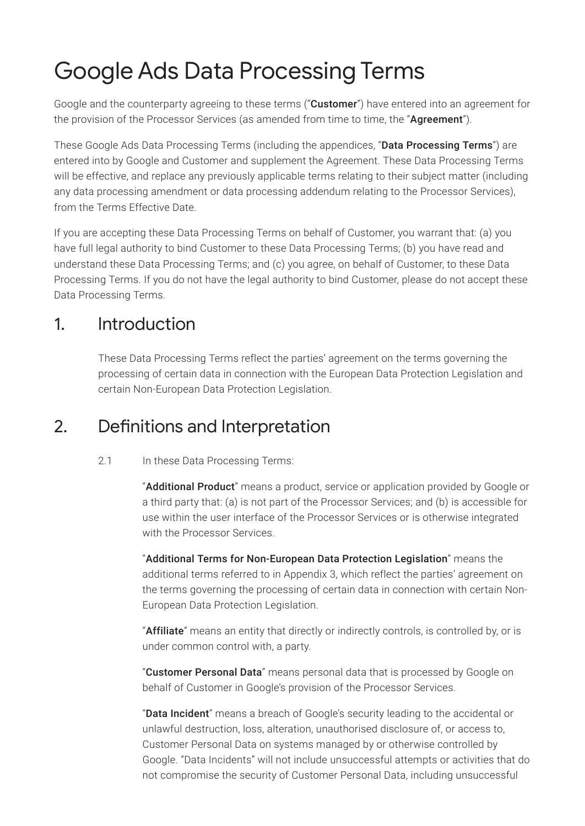# Google Ads Data Processing Terms

Google and the counterparty agreeing to these terms ("**Customer**") have entered into an agreement for the provision of the Processor Services (as amended from time to time, the "Agreement").

These Google Ads Data Processing Terms (including the appendices, "**Data Processing Terms**") are entered into by Google and Customer and supplement the Agreement. These Data Processing Terms will be effective, and replace any previously applicable terms relating to their subject matter (including any data processing amendment or data processing addendum relating to the Processor Services), from the Terms Effective Date.

If you are accepting these Data Processing Terms on behalf of Customer, you warrant that: (a) you have full legal authority to bind Customer to these Data Processing Terms; (b) you have read and understand these Data Processing Terms; and (c) you agree, on behalf of Customer, to these Data Processing Terms. If you do not have the legal authority to bind Customer, please do not accept these Data Processing Terms.

### 1. Introduction

These Data Processing Terms reflect the parties' agreement on the terms governing the processing of certain data in connection with the European Data Protection Legislation and certain Non-European Data Protection Legislation.

### 2. Definitions and Interpretation

#### 2.1 In these Data Processing Terms:

"Additional Product" means a product, service or application provided by Google or a third party that: (a) is not part of the Processor Services; and (b) is accessible for use within the user interface of the Processor Services or is otherwise integrated with the Processor Services.

"Additional Terms for Non-European Data Protection Legislation" means the additional terms referred to in Appendix 3, which reflect the parties' agreement on the terms governing the processing of certain data in connection with certain Non-European Data Protection Legislation.

"Affiliate" means an entity that directly or indirectly controls, is controlled by, or is under common control with, a party.

"Customer Personal Data" means personal data that is processed by Google on behalf of Customer in Google's provision of the Processor Services.

"Data Incident" means a breach of Google's security leading to the accidental or unlawful destruction, loss, alteration, unauthorised disclosure of, or access to, Customer Personal Data on systems managed by or otherwise controlled by Google. "Data Incidents" will not include unsuccessful attempts or activities that do not compromise the security of Customer Personal Data, including unsuccessful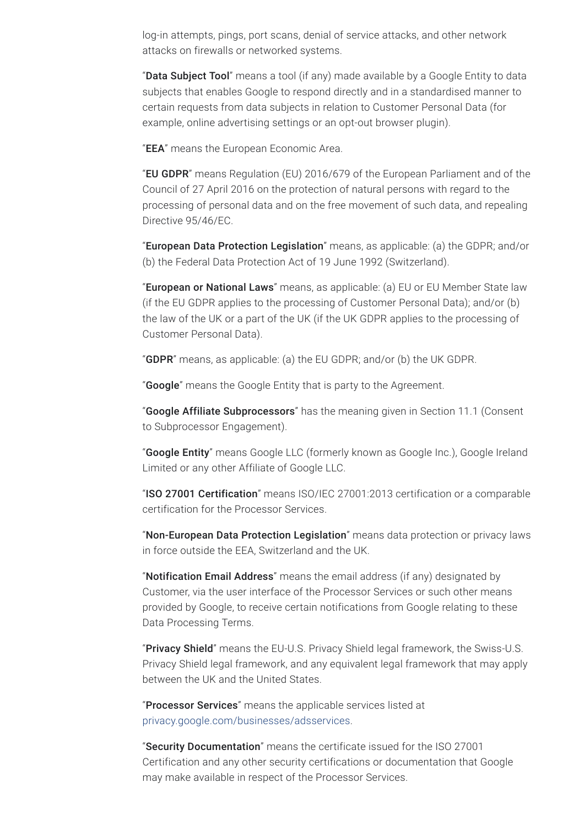log-in attempts, pings, port scans, denial of service attacks, and other network attacks on firewalls or networked systems.

"Data Subject Tool" means a tool (if any) made available by a Google Entity to data subjects that enables Google to respond directly and in a standardised manner to certain requests from data subjects in relation to Customer Personal Data (for example, online advertising settings or an opt-out browser plugin).

"**EEA**" means the European Economic Area.

"EU GDPR" means Regulation (EU) 2016/679 of the European Parliament and of the Council of 27 April 2016 on the protection of natural persons with regard to the processing of personal data and on the free movement of such data, and repealing Directive 95/46/EC.

"European Data Protection Legislation" means, as applicable: (a) the GDPR; and/or (b) the Federal Data Protection Act of 19 June 1992 (Switzerland).

"**European or National Laws**" means, as applicable: (a) EU or EU Member State law (if the EU GDPR applies to the processing of Customer Personal Data); and/or (b) the law of the UK or a part of the UK (if the UK GDPR applies to the processing of Customer Personal Data).

"**GDPR**" means, as applicable: (a) the EU GDPR; and/or (b) the UK GDPR.

"Google" means the Google Entity that is party to the Agreement.

"Google Affiliate Subprocessors" has the meaning given in Section 11.1 (Consent to Subprocessor Engagement).

"Google Entity" means Google LLC (formerly known as Google Inc.), Google Ireland Limited or any other Affiliate of Google LLC.

"ISO 27001 Certification" means ISO/IEC 27001:2013 certification or a comparable certification for the Processor Services.

"Non-European Data Protection Legislation" means data protection or privacy laws in force outside the EEA, Switzerland and the UK.

"Notification Email Address" means the email address (if any) designated by Customer, via the user interface of the Processor Services or such other means provided by Google, to receive certain notifications from Google relating to these Data Processing Terms.

"Privacy Shield" means the EU-U.S. Privacy Shield legal framework, the Swiss-U.S. Privacy Shield legal framework, and any equivalent legal framework that may apply between the UK and the United States.

"Processor Services" means the applicable services listed at [privacy.google.com/businesses/adsservices](https://privacy.google.com/businesses/adsservices/).

"Security Documentation" means the certificate issued for the ISO 27001 Certification and any other security certifications or documentation that Google may make available in respect of the Processor Services.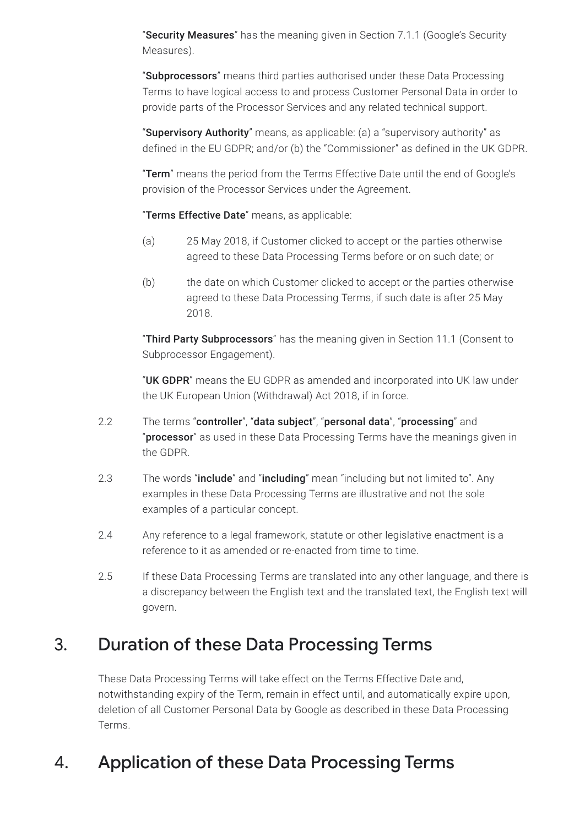"Security Measures" has the meaning given in Section 7.1.1 (Google's Security Measures).

"Subprocessors" means third parties authorised under these Data Processing Terms to have logical access to and process Customer Personal Data in order to provide parts of the Processor Services and any related technical support.

"Supervisory Authority" means, as applicable: (a) a "supervisory authority" as defined in the EU GDPR; and/or (b) the "Commissioner" as defined in the UK GDPR.

"Term" means the period from the Terms Effective Date until the end of Google's provision of the Processor Services under the Agreement.

"Terms Effective Date" means, as applicable:

- (a) 25 May 2018, if Customer clicked to accept or the parties otherwise agreed to these Data Processing Terms before or on such date; or
- (b) the date on which Customer clicked to accept or the parties otherwise agreed to these Data Processing Terms, if such date is after 25 May 2018.

"Third Party Subprocessors" has the meaning given in Section 11.1 (Consent to Subprocessor Engagement).

"UK GDPR" means the EU GDPR as amended and incorporated into UK law under the UK European Union (Withdrawal) Act 2018, if in force.

- 2.2 The terms "controller", "data subject", "personal data", "processing" and "processor" as used in these Data Processing Terms have the meanings given in the GDPR.
- 2.3 The words "include" and "including" mean "including but not limited to". Any examples in these Data Processing Terms are illustrative and not the sole examples of a particular concept.
- 2.4 Any reference to a legal framework, statute or other legislative enactment is a reference to it as amended or re-enacted from time to time.
- 2.5 If these Data Processing Terms are translated into any other language, and there is a discrepancy between the English text and the translated text, the English text will govern.

### 3. Duration of these Data Processing Terms

These Data Processing Terms will take effect on the Terms Effective Date and, notwithstanding expiry of the Term, remain in effect until, and automatically expire upon, deletion of all Customer Personal Data by Google as described in these Data Processing Terms.

## 4. Application of these Data Processing Terms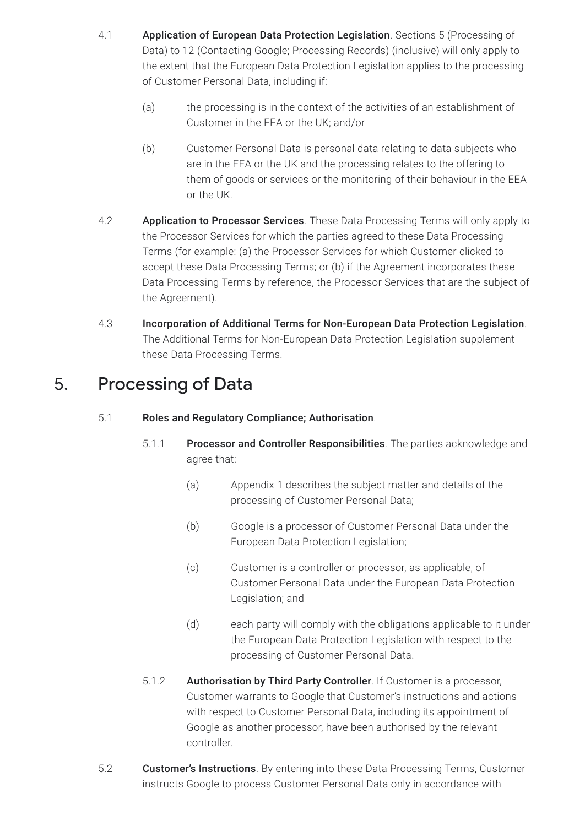- 4.1 Application of European Data Protection Legislation. Sections 5 (Processing of Data) to 12 (Contacting Google; Processing Records) (inclusive) will only apply to the extent that the European Data Protection Legislation applies to the processing of Customer Personal Data, including if:
	- (a) the processing is in the context of the activities of an establishment of Customer in the EEA or the UK; and/or
	- (b) Customer Personal Data is personal data relating to data subjects who are in the EEA or the UK and the processing relates to the offering to them of goods or services or the monitoring of their behaviour in the EEA or the UK.
- 4.2 **Application to Processor Services**. These Data Processing Terms will only apply to the Processor Services for which the parties agreed to these Data Processing Terms (for example: (a) the Processor Services for which Customer clicked to accept these Data Processing Terms; or (b) if the Agreement incorporates these Data Processing Terms by reference, the Processor Services that are the subject of the Agreement).
- 4.3 Incorporation of Additional Terms for Non-European Data Protection Legislation. The Additional Terms for Non-European Data Protection Legislation supplement these Data Processing Terms.

### 5. Processing of Data

- 5.1 Roles and Regulatory Compliance; Authorisation.
	- 5.1.1 Processor and Controller Responsibilities. The parties acknowledge and agree that:
		- (a) Appendix 1 describes the subject matter and details of the processing of Customer Personal Data;
		- (b) Google is a processor of Customer Personal Data under the European Data Protection Legislation;
		- (c) Customer is a controller or processor, as applicable, of Customer Personal Data under the European Data Protection Legislation; and
		- (d) each party will comply with the obligations applicable to it under the European Data Protection Legislation with respect to the processing of Customer Personal Data.
	- 5.1.2 Authorisation by Third Party Controller. If Customer is a processor, Customer warrants to Google that Customer's instructions and actions with respect to Customer Personal Data, including its appointment of Google as another processor, have been authorised by the relevant controller.
- 5.2 Customer's Instructions. By entering into these Data Processing Terms, Customer instructs Google to process Customer Personal Data only in accordance with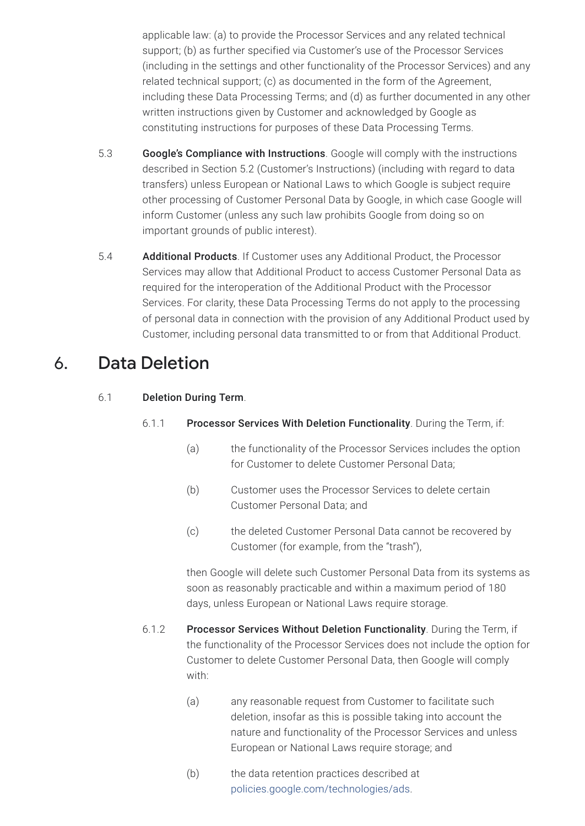applicable law: (a) to provide the Processor Services and any related technical support; (b) as further specified via Customer's use of the Processor Services (including in the settings and other functionality of the Processor Services) and any related technical support; (c) as documented in the form of the Agreement, including these Data Processing Terms; and (d) as further documented in any other written instructions given by Customer and acknowledged by Google as constituting instructions for purposes of these Data Processing Terms.

- 5.3 Google's Compliance with Instructions. Google will comply with the instructions described in Section 5.2 (Customer's Instructions) (including with regard to data transfers) unless European or National Laws to which Google is subject require other processing of Customer Personal Data by Google, in which case Google will inform Customer (unless any such law prohibits Google from doing so on important grounds of public interest).
- 5.4 **Additional Products**. If Customer uses any Additional Product, the Processor Services may allow that Additional Product to access Customer Personal Data as required for the interoperation of the Additional Product with the Processor Services. For clarity, these Data Processing Terms do not apply to the processing of personal data in connection with the provision of any Additional Product used by Customer, including personal data transmitted to or from that Additional Product.

### 6. Data Deletion

#### 6.1 Deletion During Term.

- 6.1.1 Processor Services With Deletion Functionality. During the Term, if:
	- (a) the functionality of the Processor Services includes the option for Customer to delete Customer Personal Data;
	- (b) Customer uses the Processor Services to delete certain Customer Personal Data; and
	- (c) the deleted Customer Personal Data cannot be recovered by Customer (for example, from the "trash"),

then Google will delete such Customer Personal Data from its systems as soon as reasonably practicable and within a maximum period of 180 days, unless European or National Laws require storage.

- 6.1.2 Processor Services Without Deletion Functionality. During the Term, if the functionality of the Processor Services does not include the option for Customer to delete Customer Personal Data, then Google will comply with:
	- (a) any reasonable request from Customer to facilitate such deletion, insofar as this is possible taking into account the nature and functionality of the Processor Services and unless European or National Laws require storage; and
	- (b) the data retention practices described at [policies.google.com/technologies/ads](https://policies.google.com/technologies/ads).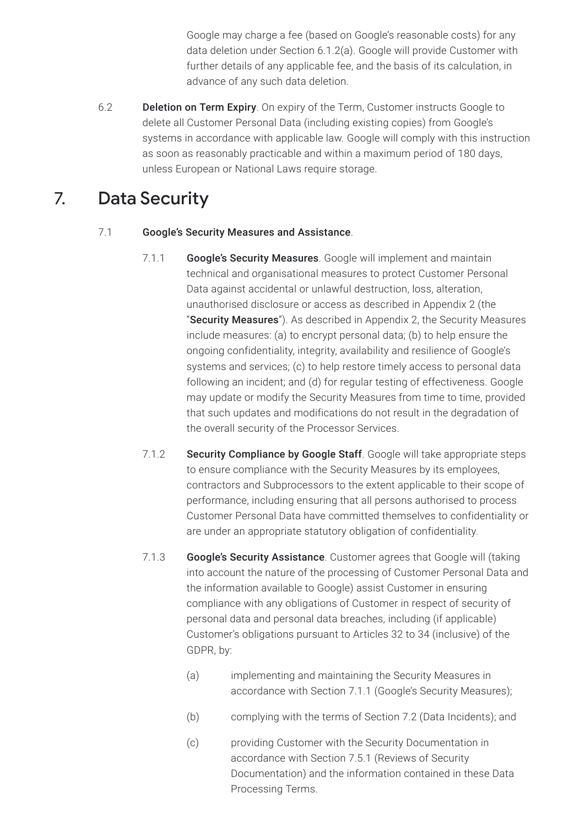Google may charge a fee (based on Google's reasonable costs) for any data deletion under Section 6.1.2(a). Google will provide Customer with further details of any applicable fee, and the basis of its calculation, in advance of any such data deletion.

6.2 **Deletion on Term Expiry**. On expiry of the Term, Customer instructs Google to delete all Customer Personal Data (including existing copies) from Google's systems in accordance with applicable law. Google will comply with this instruction as soon as reasonably practicable and within a maximum period of 180 days, unless European or National Laws require storage.

### 7. Data Security

#### 7.1 Google's Security Measures and Assistance.

- 7.1.1 Google's Security Measures. Google will implement and maintain technical and organisational measures to protect Customer Personal Data against accidental or unlawful destruction, loss, alteration, unauthorised disclosure or access as described in Appendix 2 (the "Security Measures"). As described in Appendix 2, the Security Measures include measures: (a) to encrypt personal data; (b) to help ensure the ongoing confidentiality, integrity, availability and resilience of Google's systems and services; (c) to help restore timely access to personal data following an incident; and (d) for regular testing of effectiveness. Google may update or modify the Security Measures from time to time, provided that such updates and modifications do not result in the degradation of the overall security of the Processor Services.
- 7.1.2 Security Compliance by Google Staff. Google will take appropriate steps to ensure compliance with the Security Measures by its employees, contractors and Subprocessors to the extent applicable to their scope of performance, including ensuring that all persons authorised to process Customer Personal Data have committed themselves to confidentiality or are under an appropriate statutory obligation of confidentiality.
- 7.1.3 Google's Security Assistance. Customer agrees that Google will (taking into account the nature of the processing of Customer Personal Data and the information available to Google) assist Customer in ensuring compliance with any obligations of Customer in respect of security of personal data and personal data breaches, including (if applicable) Customer's obligations pursuant to Articles 32 to 34 (inclusive) of the GDPR, by:
	- (a) implementing and maintaining the Security Measures in accordance with Section 7.1.1 (Google's Security Measures);
	- (b) complying with the terms of Section 7.2 (Data Incidents); and
	- (c) providing Customer with the Security Documentation in accordance with Section 7.5.1 (Reviews of Security Documentation) and the information contained in these Data Processing Terms.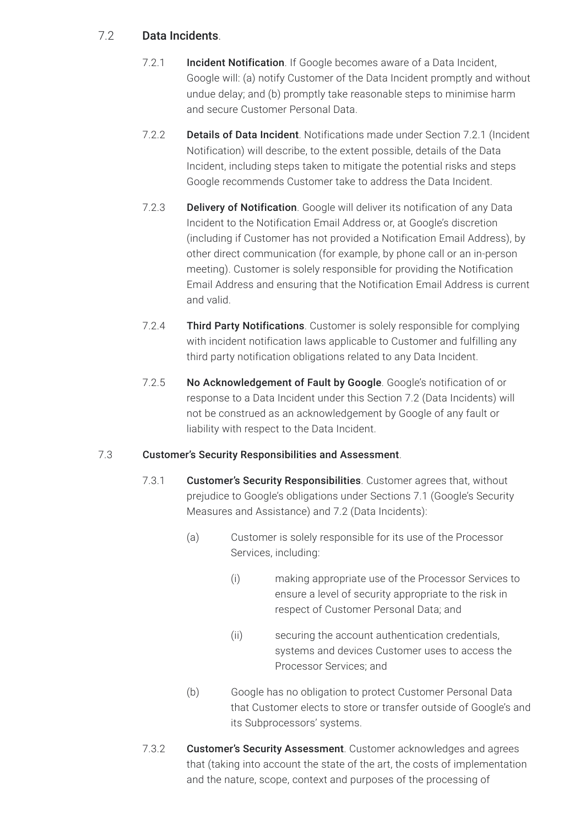#### 7.2 Data Incidents.

- 7.2.1 **Incident Notification**. If Google becomes aware of a Data Incident, Google will: (a) notify Customer of the Data Incident promptly and without undue delay; and (b) promptly take reasonable steps to minimise harm and secure Customer Personal Data.
- 7.2.2 **Details of Data Incident**. Notifications made under Section 7.2.1 (Incident Notification) will describe, to the extent possible, details of the Data Incident, including steps taken to mitigate the potential risks and steps Google recommends Customer take to address the Data Incident.
- 7.2.3 Delivery of Notification. Google will deliver its notification of any Data Incident to the Notification Email Address or, at Google's discretion (including if Customer has not provided a Notification Email Address), by other direct communication (for example, by phone call or an in-person meeting). Customer is solely responsible for providing the Notification Email Address and ensuring that the Notification Email Address is current and valid.
- 7.2.4 Third Party Notifications. Customer is solely responsible for complying with incident notification laws applicable to Customer and fulfilling any third party notification obligations related to any Data Incident.
- 7.2.5 No Acknowledgement of Fault by Google. Google's notification of or response to a Data Incident under this Section 7.2 (Data Incidents) will not be construed as an acknowledgement by Google of any fault or liability with respect to the Data Incident.

#### 7.3 Customer's Security Responsibilities and Assessment.

- 7.3.1 Customer's Security Responsibilities. Customer agrees that, without prejudice to Google's obligations under Sections 7.1 (Google's Security Measures and Assistance) and 7.2 (Data Incidents):
	- (a) Customer is solely responsible for its use of the Processor Services, including:
		- (i) making appropriate use of the Processor Services to ensure a level of security appropriate to the risk in respect of Customer Personal Data; and
		- (ii) securing the account authentication credentials, systems and devices Customer uses to access the Processor Services; and
	- (b) Google has no obligation to protect Customer Personal Data that Customer elects to store or transfer outside of Google's and its Subprocessors' systems.
- 7.3.2 Customer's Security Assessment. Customer acknowledges and agrees that (taking into account the state of the art, the costs of implementation and the nature, scope, context and purposes of the processing of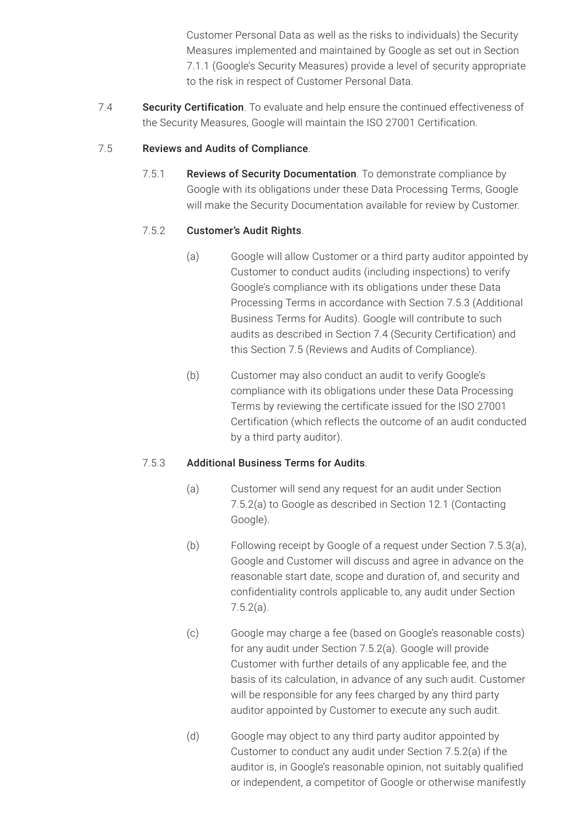Customer Personal Data as well as the risks to individuals) the Security Measures implemented and maintained by Google as set out in Section 7.1.1 (Google's Security Measures) provide a level of security appropriate to the risk in respect of Customer Personal Data.

7.4 **Security Certification**. To evaluate and help ensure the continued effectiveness of the Security Measures, Google will maintain the ISO 27001 Certification.

#### 7.5 Reviews and Audits of Compliance.

7.5.1 Reviews of Security Documentation. To demonstrate compliance by Google with its obligations under these Data Processing Terms, Google will make the Security Documentation available for review by Customer.

#### 7.5.2 Customer's Audit Rights.

- (a) Google will allow Customer or a third party auditor appointed by Customer to conduct audits (including inspections) to verify Google's compliance with its obligations under these Data Processing Terms in accordance with Section 7.5.3 (Additional Business Terms for Audits). Google will contribute to such audits as described in Section 7.4 (Security Certification) and this Section 7.5 (Reviews and Audits of Compliance).
- (b) Customer may also conduct an audit to verify Google's compliance with its obligations under these Data Processing Terms by reviewing the certificate issued for the ISO 27001 Certification (which reflects the outcome of an audit conducted by a third party auditor).

#### 7.5.3 Additional Business Terms for Audits.

- (a) Customer will send any request for an audit under Section 7.5.2(a) to Google as described in Section 12.1 (Contacting Google).
- (b) Following receipt by Google of a request under Section 7.5.3(a), Google and Customer will discuss and agree in advance on the reasonable start date, scope and duration of, and security and confidentiality controls applicable to, any audit under Section 7.5.2(a).
- (c) Google may charge a fee (based on Google's reasonable costs) for any audit under Section 7.5.2(a). Google will provide Customer with further details of any applicable fee, and the basis of its calculation, in advance of any such audit. Customer will be responsible for any fees charged by any third party auditor appointed by Customer to execute any such audit.
- (d) Google may object to any third party auditor appointed by Customer to conduct any audit under Section 7.5.2(a) if the auditor is, in Google's reasonable opinion, not suitably qualified or independent, a competitor of Google or otherwise manifestly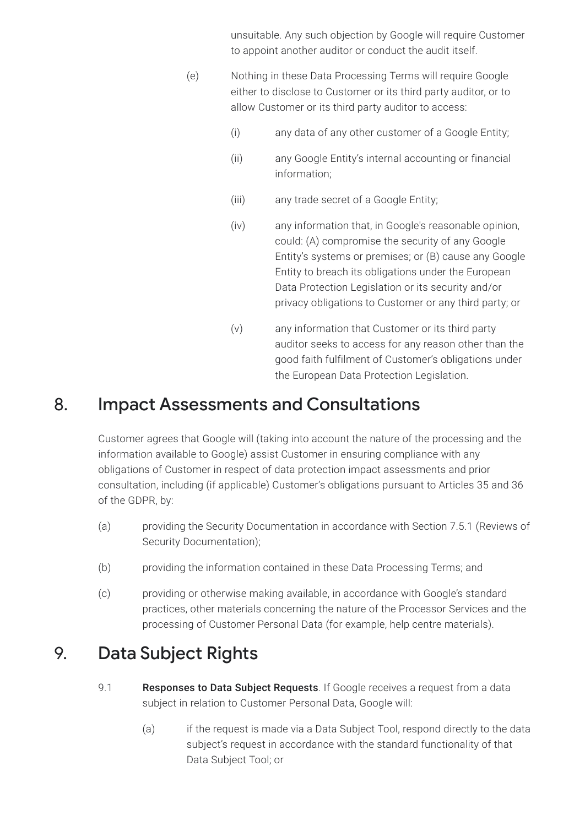unsuitable. Any such objection by Google will require Customer to appoint another auditor or conduct the audit itself.

- (e) Nothing in these Data Processing Terms will require Google either to disclose to Customer or its third party auditor, or to allow Customer or its third party auditor to access:
	- (i) any data of any other customer of a Google Entity;
	- (ii) any Google Entity's internal accounting or financial information;
	- (iii) any trade secret of a Google Entity;
	- (iv) any information that, in Google's reasonable opinion, could: (A) compromise the security of any Google Entity's systems or premises; or (B) cause any Google Entity to breach its obligations under the European Data Protection Legislation or its security and/or privacy obligations to Customer or any third party; or
	- (v) any information that Customer or its third party auditor seeks to access for any reason other than the good faith fulfilment of Customer's obligations under the European Data Protection Legislation.

#### 8. Impact Assessments and Consultations

Customer agrees that Google will (taking into account the nature of the processing and the information available to Google) assist Customer in ensuring compliance with any obligations of Customer in respect of data protection impact assessments and prior consultation, including (if applicable) Customer's obligations pursuant to Articles 35 and 36 of the GDPR, by:

- (a) providing the Security Documentation in accordance with Section 7.5.1 (Reviews of Security Documentation);
- (b) providing the information contained in these Data Processing Terms; and
- (c) providing or otherwise making available, in accordance with Google's standard practices, other materials concerning the nature of the Processor Services and the processing of Customer Personal Data (for example, help centre materials).

## 9. Data Subject Rights

- 9.1 Responses to Data Subject Requests. If Google receives a request from a data subject in relation to Customer Personal Data, Google will:
	- (a) if the request is made via a Data Subject Tool, respond directly to the data subject's request in accordance with the standard functionality of that Data Subject Tool; or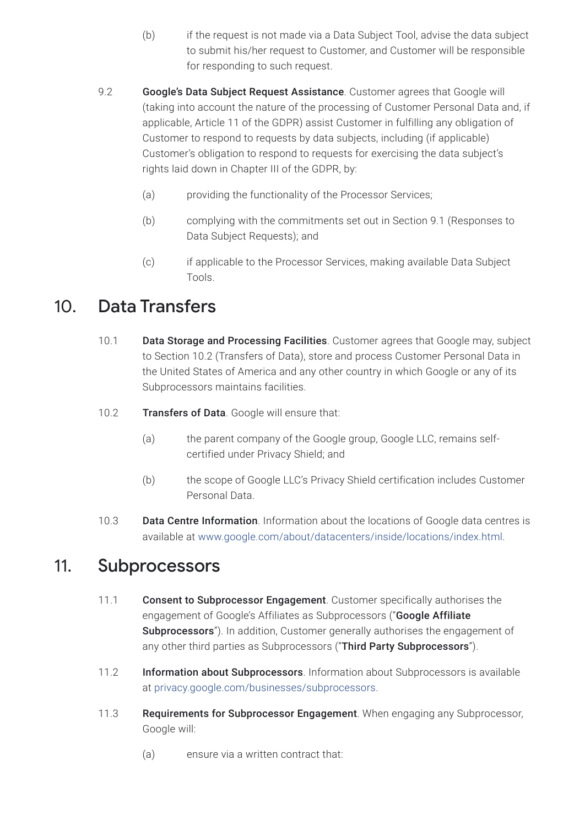- (b) if the request is not made via a Data Subject Tool, advise the data subject to submit his/her request to Customer, and Customer will be responsible for responding to such request.
- 9.2 **Google's Data Subject Request Assistance**. Customer agrees that Google will (taking into account the nature of the processing of Customer Personal Data and, if applicable, Article 11 of the GDPR) assist Customer in fulfilling any obligation of Customer to respond to requests by data subjects, including (if applicable) Customer's obligation to respond to requests for exercising the data subject's rights laid down in Chapter III of the GDPR, by:
	- (a) providing the functionality of the Processor Services;
	- (b) complying with the commitments set out in Section 9.1 (Responses to Data Subject Requests); and
	- (c) if applicable to the Processor Services, making available Data Subject Tools.

### 10. Data Transfers

- 10.1 Data Storage and Processing Facilities. Customer agrees that Google may, subject to Section 10.2 (Transfers of Data), store and process Customer Personal Data in the United States of America and any other country in which Google or any of its Subprocessors maintains facilities.
- 10.2 **Transfers of Data**. Google will ensure that:
	- (a) the parent company of the Google group, Google LLC, remains selfcertified under Privacy Shield; and
	- (b) the scope of Google LLC's Privacy Shield certification includes Customer Personal Data.
- 10.3 Data Centre Information. Information about the locations of Google data centres is available at [www.google.com/about/datacenters/inside/locations/index.html.](https://www.google.com/about/datacenters/inside/locations/index.html)

### 11. Subprocessors

- 11.1 Consent to Subprocessor Engagement. Customer specifically authorises the engagement of Google's Affiliates as Subprocessors ("Google Affiliate Subprocessors"). In addition, Customer generally authorises the engagement of any other third parties as Subprocessors ("Third Party Subprocessors").
- 11.2 Information about Subprocessors. Information about Subprocessors is available at [privacy.google.com/businesses/subprocessors.](https://privacy.google.com/businesses/subprocessors/)
- 11.3 Requirements for Subprocessor Engagement. When engaging any Subprocessor, Google will:
	- (a) ensure via a written contract that: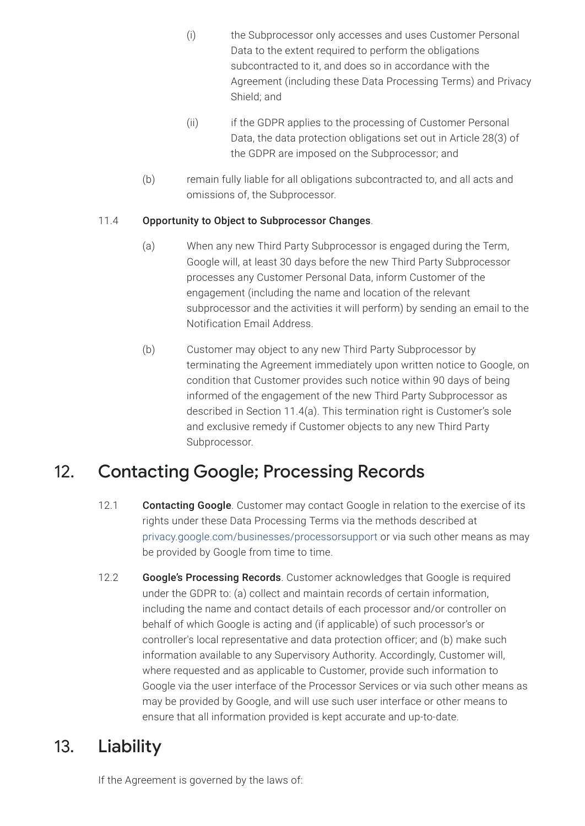- (i) the Subprocessor only accesses and uses Customer Personal Data to the extent required to perform the obligations subcontracted to it, and does so in accordance with the Agreement (including these Data Processing Terms) and Privacy Shield; and
- (ii) if the GDPR applies to the processing of Customer Personal Data, the data protection obligations set out in Article 28(3) of the GDPR are imposed on the Subprocessor; and
- (b) remain fully liable for all obligations subcontracted to, and all acts and omissions of, the Subprocessor.

#### 11.4 Opportunity to Object to Subprocessor Changes.

- (a) When any new Third Party Subprocessor is engaged during the Term, Google will, at least 30 days before the new Third Party Subprocessor processes any Customer Personal Data, inform Customer of the engagement (including the name and location of the relevant subprocessor and the activities it will perform) by sending an email to the Notification Email Address.
- (b) Customer may object to any new Third Party Subprocessor by terminating the Agreement immediately upon written notice to Google, on condition that Customer provides such notice within 90 days of being informed of the engagement of the new Third Party Subprocessor as described in Section 11.4(a). This termination right is Customer's sole and exclusive remedy if Customer objects to any new Third Party Subprocessor.

### 12. Contacting Google; Processing Records

- 12.1 Contacting Google. Customer may contact Google in relation to the exercise of its rights under these Data Processing Terms via the methods described at [privacy.google.com/businesses/processorsupport](https://privacy.google.com/businesses/processorsupport/) or via such other means as may be provided by Google from time to time.
- 12.2 Google's Processing Records. Customer acknowledges that Google is required under the GDPR to: (a) collect and maintain records of certain information, including the name and contact details of each processor and/or controller on behalf of which Google is acting and (if applicable) of such processor's or controller's local representative and data protection officer; and (b) make such information available to any Supervisory Authority. Accordingly, Customer will, where requested and as applicable to Customer, provide such information to Google via the user interface of the Processor Services or via such other means as may be provided by Google, and will use such user interface or other means to ensure that all information provided is kept accurate and up-to-date.

### 13. Liability

If the Agreement is governed by the laws of: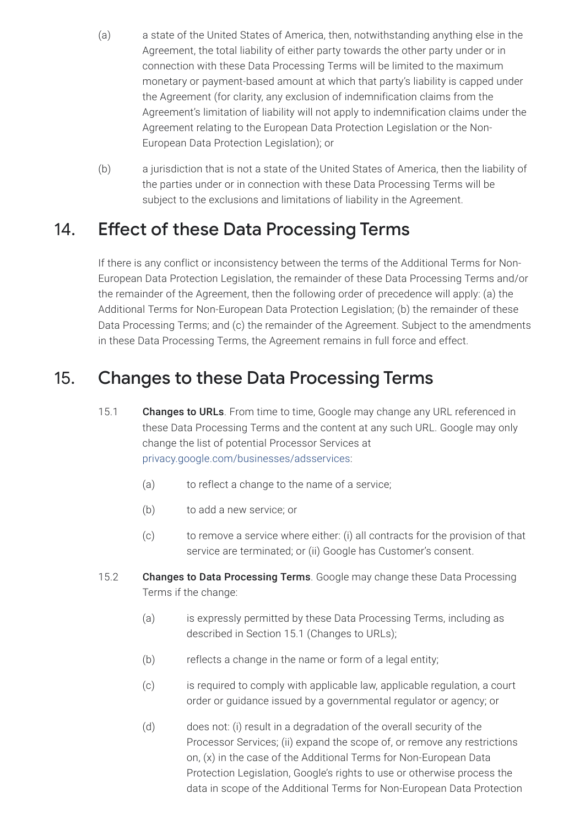- (a) a state of the United States of America, then, notwithstanding anything else in the Agreement, the total liability of either party towards the other party under or in connection with these Data Processing Terms will be limited to the maximum monetary or payment-based amount at which that party's liability is capped under the Agreement (for clarity, any exclusion of indemnification claims from the Agreement's limitation of liability will not apply to indemnification claims under the Agreement relating to the European Data Protection Legislation or the Non-European Data Protection Legislation); or
- (b) a jurisdiction that is not a state of the United States of America, then the liability of the parties under or in connection with these Data Processing Terms will be subject to the exclusions and limitations of liability in the Agreement.

### 14. Effect of these Data Processing Terms

If there is any conflict or inconsistency between the terms of the Additional Terms for Non-European Data Protection Legislation, the remainder of these Data Processing Terms and/or the remainder of the Agreement, then the following order of precedence will apply: (a) the Additional Terms for Non-European Data Protection Legislation; (b) the remainder of these Data Processing Terms; and (c) the remainder of the Agreement. Subject to the amendments in these Data Processing Terms, the Agreement remains in full force and effect.

### 15. Changes to these Data Processing Terms

- 15.1 Changes to URLs. From time to time, Google may change any URL referenced in these Data Processing Terms and the content at any such URL. Google may only change the list of potential Processor Services at [privacy.google.com/businesses/adsservices](https://privacy.google.com/businesses/adsservices/):
	- (a) to reflect a change to the name of a service;
	- (b) to add a new service; or
	- (c) to remove a service where either: (i) all contracts for the provision of that service are terminated; or (ii) Google has Customer's consent.
- 15.2 Changes to Data Processing Terms. Google may change these Data Processing Terms if the change:
	- (a) is expressly permitted by these Data Processing Terms, including as described in Section 15.1 (Changes to URLs);
	- (b) reflects a change in the name or form of a legal entity;
	- (c) is required to comply with applicable law, applicable regulation, a court order or guidance issued by a governmental regulator or agency; or
	- (d) does not: (i) result in a degradation of the overall security of the Processor Services; (ii) expand the scope of, or remove any restrictions on, (x) in the case of the Additional Terms for Non-European Data Protection Legislation, Google's rights to use or otherwise process the data in scope of the Additional Terms for Non-European Data Protection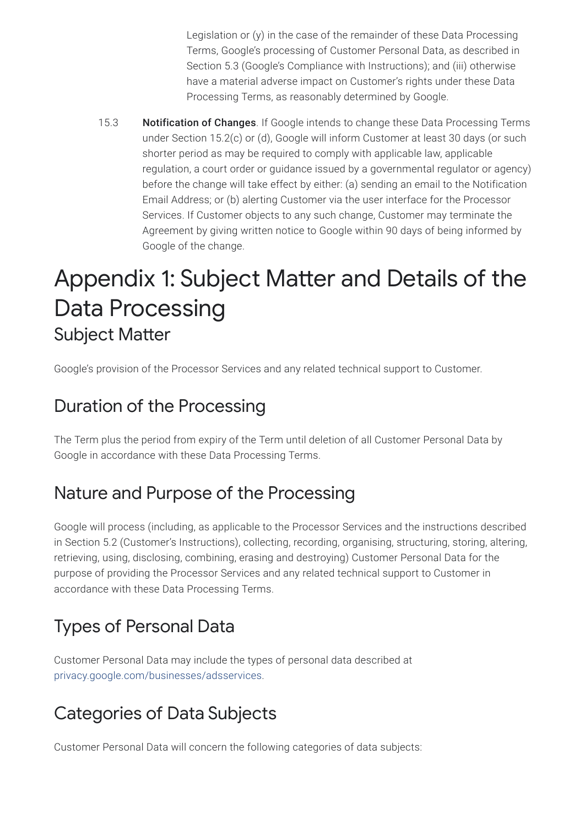Legislation or (y) in the case of the remainder of these Data Processing Terms, Google's processing of Customer Personal Data, as described in Section 5.3 (Google's Compliance with Instructions); and (iii) otherwise have a material adverse impact on Customer's rights under these Data Processing Terms, as reasonably determined by Google.

15.3 **Notification of Changes**. If Google intends to change these Data Processing Terms under Section 15.2(c) or (d), Google will inform Customer at least 30 days (or such shorter period as may be required to comply with applicable law, applicable regulation, a court order or guidance issued by a governmental regulator or agency) before the change will take effect by either: (a) sending an email to the Notification Email Address; or (b) alerting Customer via the user interface for the Processor Services. If Customer objects to any such change, Customer may terminate the Agreement by giving written notice to Google within 90 days of being informed by Google of the change.

## Appendix 1: Subject Matter and Details of the Data Processing Subject Matter

Google's provision of the Processor Services and any related technical support to Customer.

### Duration of the Processing

The Term plus the period from expiry of the Term until deletion of all Customer Personal Data by Google in accordance with these Data Processing Terms.

### Nature and Purpose of the Processing

Google will process (including, as applicable to the Processor Services and the instructions described in Section 5.2 (Customer's Instructions), collecting, recording, organising, structuring, storing, altering, retrieving, using, disclosing, combining, erasing and destroying) Customer Personal Data for the purpose of providing the Processor Services and any related technical support to Customer in accordance with these Data Processing Terms.

## Types of Personal Data

Customer Personal Data may include the types of personal data described at [privacy.google.com/businesses/adsservices](https://privacy.google.com/businesses/adsservices/).

### Categories of Data Subjects

Customer Personal Data will concern the following categories of data subjects: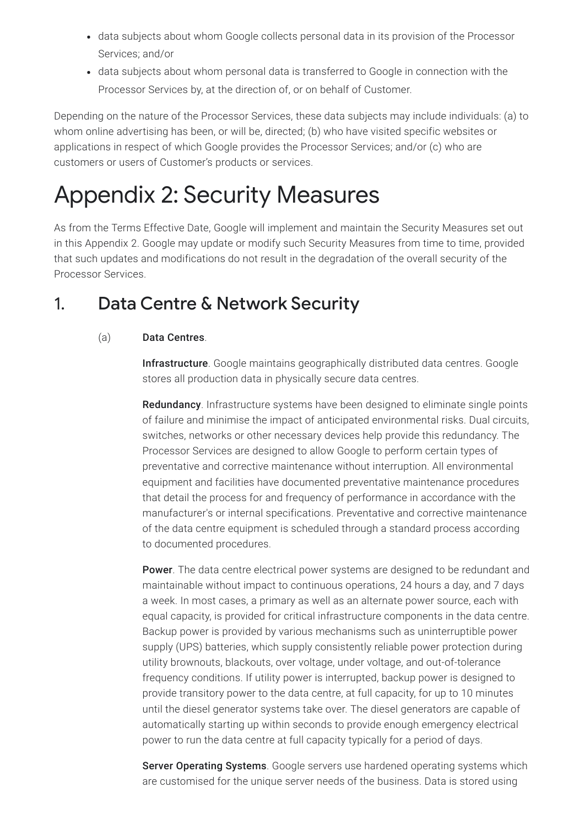- data subjects about whom Google collects personal data in its provision of the Processor Services; and/or
- data subjects about whom personal data is transferred to Google in connection with the Processor Services by, at the direction of, or on behalf of Customer.

Depending on the nature of the Processor Services, these data subjects may include individuals: (a) to whom online advertising has been, or will be, directed; (b) who have visited specific websites or applications in respect of which Google provides the Processor Services; and/or (c) who are customers or users of Customer's products or services.

# Appendix 2: Security Measures

As from the Terms Effective Date, Google will implement and maintain the Security Measures set out in this Appendix 2. Google may update or modify such Security Measures from time to time, provided that such updates and modifications do not result in the degradation of the overall security of the Processor Services.

### 1. Data Centre & Network Security

#### (a) Data Centres.

Infrastructure. Google maintains geographically distributed data centres. Google stores all production data in physically secure data centres.

Redundancy. Infrastructure systems have been designed to eliminate single points of failure and minimise the impact of anticipated environmental risks. Dual circuits, switches, networks or other necessary devices help provide this redundancy. The Processor Services are designed to allow Google to perform certain types of preventative and corrective maintenance without interruption. All environmental equipment and facilities have documented preventative maintenance procedures that detail the process for and frequency of performance in accordance with the manufacturer's or internal specifications. Preventative and corrective maintenance of the data centre equipment is scheduled through a standard process according to documented procedures.

**Power**. The data centre electrical power systems are designed to be redundant and maintainable without impact to continuous operations, 24 hours a day, and 7 days a week. In most cases, a primary as well as an alternate power source, each with equal capacity, is provided for critical infrastructure components in the data centre. Backup power is provided by various mechanisms such as uninterruptible power supply (UPS) batteries, which supply consistently reliable power protection during utility brownouts, blackouts, over voltage, under voltage, and out-of-tolerance frequency conditions. If utility power is interrupted, backup power is designed to provide transitory power to the data centre, at full capacity, for up to 10 minutes until the diesel generator systems take over. The diesel generators are capable of automatically starting up within seconds to provide enough emergency electrical power to run the data centre at full capacity typically for a period of days.

**Server Operating Systems**. Google servers use hardened operating systems which are customised for the unique server needs of the business. Data is stored using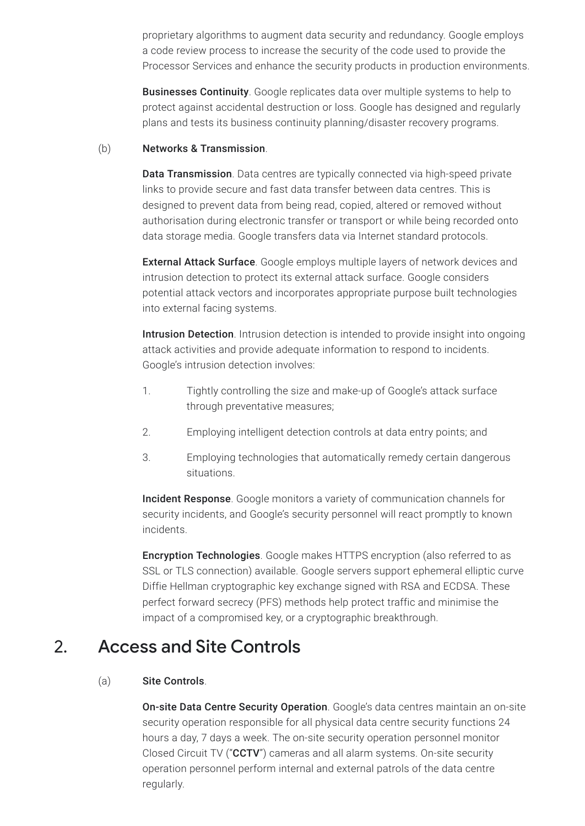proprietary algorithms to augment data security and redundancy. Google employs a code review process to increase the security of the code used to provide the Processor Services and enhance the security products in production environments.

Businesses Continuity. Google replicates data over multiple systems to help to protect against accidental destruction or loss. Google has designed and regularly plans and tests its business continuity planning/disaster recovery programs.

#### (b) Networks & Transmission.

Data Transmission. Data centres are typically connected via high-speed private links to provide secure and fast data transfer between data centres. This is designed to prevent data from being read, copied, altered or removed without authorisation during electronic transfer or transport or while being recorded onto data storage media. Google transfers data via Internet standard protocols.

**External Attack Surface**. Google employs multiple layers of network devices and intrusion detection to protect its external attack surface. Google considers potential attack vectors and incorporates appropriate purpose built technologies into external facing systems.

Intrusion Detection. Intrusion detection is intended to provide insight into ongoing attack activities and provide adequate information to respond to incidents. Google's intrusion detection involves:

- 1. Tightly controlling the size and make-up of Google's attack surface through preventative measures;
- 2. Employing intelligent detection controls at data entry points; and
- 3. Employing technologies that automatically remedy certain dangerous situations.

Incident Response. Google monitors a variety of communication channels for security incidents, and Google's security personnel will react promptly to known incidents.

Encryption Technologies. Google makes HTTPS encryption (also referred to as SSL or TLS connection) available. Google servers support ephemeral elliptic curve Diffie Hellman cryptographic key exchange signed with RSA and ECDSA. These perfect forward secrecy (PFS) methods help protect traffic and minimise the impact of a compromised key, or a cryptographic breakthrough.

### 2. Access and Site Controls

#### (a) Site Controls.

On-site Data Centre Security Operation. Google's data centres maintain an on-site security operation responsible for all physical data centre security functions 24 hours a day, 7 days a week. The on-site security operation personnel monitor Closed Circuit TV ("CCTV") cameras and all alarm systems. On-site security operation personnel perform internal and external patrols of the data centre regularly.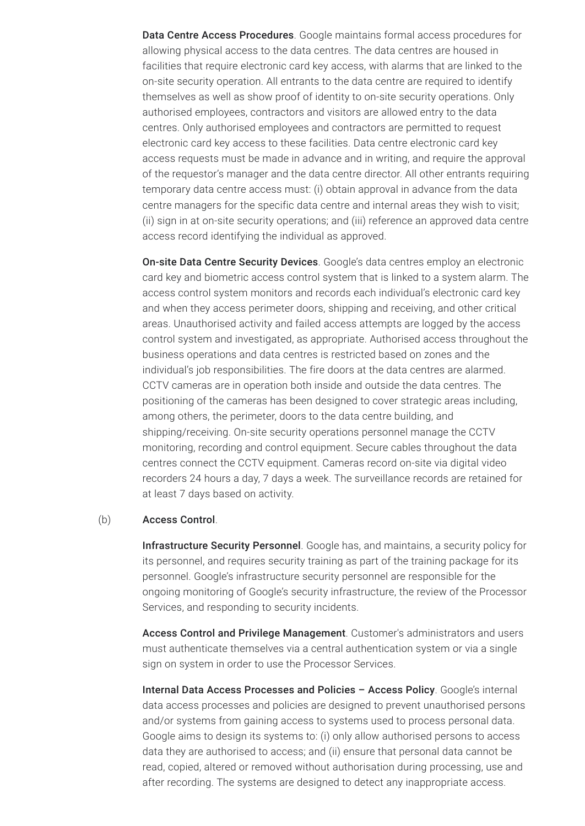Data Centre Access Procedures. Google maintains formal access procedures for allowing physical access to the data centres. The data centres are housed in facilities that require electronic card key access, with alarms that are linked to the on-site security operation. All entrants to the data centre are required to identify themselves as well as show proof of identity to on-site security operations. Only authorised employees, contractors and visitors are allowed entry to the data centres. Only authorised employees and contractors are permitted to request electronic card key access to these facilities. Data centre electronic card key access requests must be made in advance and in writing, and require the approval of the requestor's manager and the data centre director. All other entrants requiring temporary data centre access must: (i) obtain approval in advance from the data centre managers for the specific data centre and internal areas they wish to visit; (ii) sign in at on-site security operations; and (iii) reference an approved data centre access record identifying the individual as approved.

On-site Data Centre Security Devices. Google's data centres employ an electronic card key and biometric access control system that is linked to a system alarm. The access control system monitors and records each individual's electronic card key and when they access perimeter doors, shipping and receiving, and other critical areas. Unauthorised activity and failed access attempts are logged by the access control system and investigated, as appropriate. Authorised access throughout the business operations and data centres is restricted based on zones and the individual's job responsibilities. The fire doors at the data centres are alarmed. CCTV cameras are in operation both inside and outside the data centres. The positioning of the cameras has been designed to cover strategic areas including, among others, the perimeter, doors to the data centre building, and shipping/receiving. On-site security operations personnel manage the CCTV monitoring, recording and control equipment. Secure cables throughout the data centres connect the CCTV equipment. Cameras record on-site via digital video recorders 24 hours a day, 7 days a week. The surveillance records are retained for at least 7 days based on activity.

#### (b) Access Control.

Infrastructure Security Personnel. Google has, and maintains, a security policy for its personnel, and requires security training as part of the training package for its personnel. Google's infrastructure security personnel are responsible for the ongoing monitoring of Google's security infrastructure, the review of the Processor Services, and responding to security incidents.

Access Control and Privilege Management. Customer's administrators and users must authenticate themselves via a central authentication system or via a single sign on system in order to use the Processor Services.

Internal Data Access Processes and Policies - Access Policy. Google's internal data access processes and policies are designed to prevent unauthorised persons and/or systems from gaining access to systems used to process personal data. Google aims to design its systems to: (i) only allow authorised persons to access data they are authorised to access; and (ii) ensure that personal data cannot be read, copied, altered or removed without authorisation during processing, use and after recording. The systems are designed to detect any inappropriate access.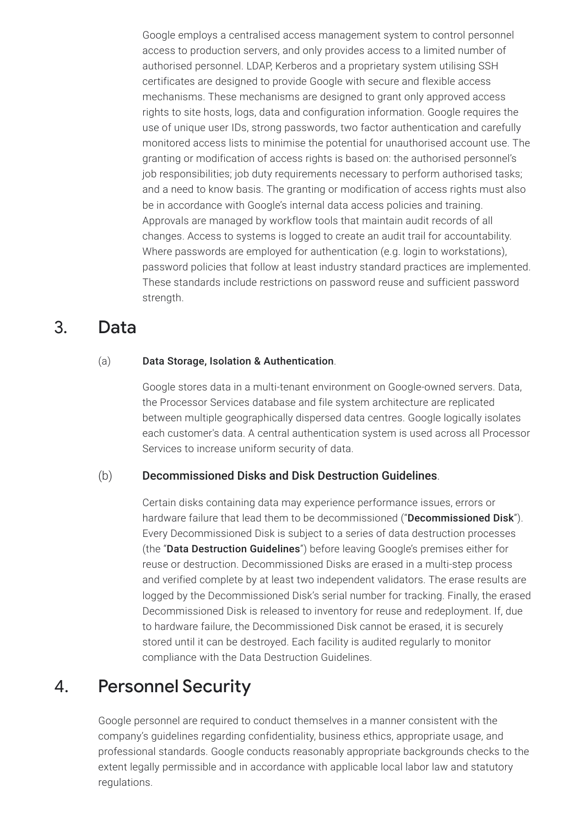Google employs a centralised access management system to control personnel access to production servers, and only provides access to a limited number of authorised personnel. LDAP, Kerberos and a proprietary system utilising SSH certificates are designed to provide Google with secure and flexible access mechanisms. These mechanisms are designed to grant only approved access rights to site hosts, logs, data and configuration information. Google requires the use of unique user IDs, strong passwords, two factor authentication and carefully monitored access lists to minimise the potential for unauthorised account use. The granting or modification of access rights is based on: the authorised personnel's job responsibilities; job duty requirements necessary to perform authorised tasks; and a need to know basis. The granting or modification of access rights must also be in accordance with Google's internal data access policies and training. Approvals are managed by workflow tools that maintain audit records of all changes. Access to systems is logged to create an audit trail for accountability. Where passwords are employed for authentication (e.g. login to workstations), password policies that follow at least industry standard practices are implemented. These standards include restrictions on password reuse and sufficient password strength.

#### 3. Data

#### (a) Data Storage, Isolation & Authentication.

Google stores data in a multi-tenant environment on Google-owned servers. Data, the Processor Services database and file system architecture are replicated between multiple geographically dispersed data centres. Google logically isolates each customer's data. A central authentication system is used across all Processor Services to increase uniform security of data.

#### (b) Decommissioned Disks and Disk Destruction Guidelines.

Certain disks containing data may experience performance issues, errors or hardware failure that lead them to be decommissioned ("Decommissioned Disk"). Every Decommissioned Disk is subject to a series of data destruction processes (the "Data Destruction Guidelines") before leaving Google's premises either for reuse or destruction. Decommissioned Disks are erased in a multi-step process and verified complete by at least two independent validators. The erase results are logged by the Decommissioned Disk's serial number for tracking. Finally, the erased Decommissioned Disk is released to inventory for reuse and redeployment. If, due to hardware failure, the Decommissioned Disk cannot be erased, it is securely stored until it can be destroyed. Each facility is audited regularly to monitor compliance with the Data Destruction Guidelines.

#### 4. Personnel Security

Google personnel are required to conduct themselves in a manner consistent with the company's guidelines regarding confidentiality, business ethics, appropriate usage, and professional standards. Google conducts reasonably appropriate backgrounds checks to the extent legally permissible and in accordance with applicable local labor law and statutory regulations.